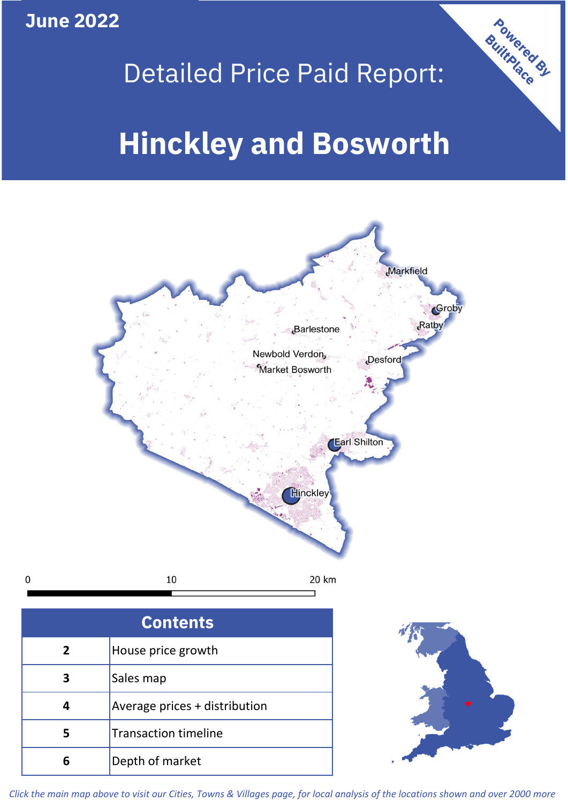**June 2022**

# Detailed Price Paid Report:

Powered By

# **Hinckley and Bosworth**



*Click the main map above to visit our Cities, Towns & Villages page, for local analysis of the locations shown and over 2000 more*

**6** Depth of market

 $\mathbf 0$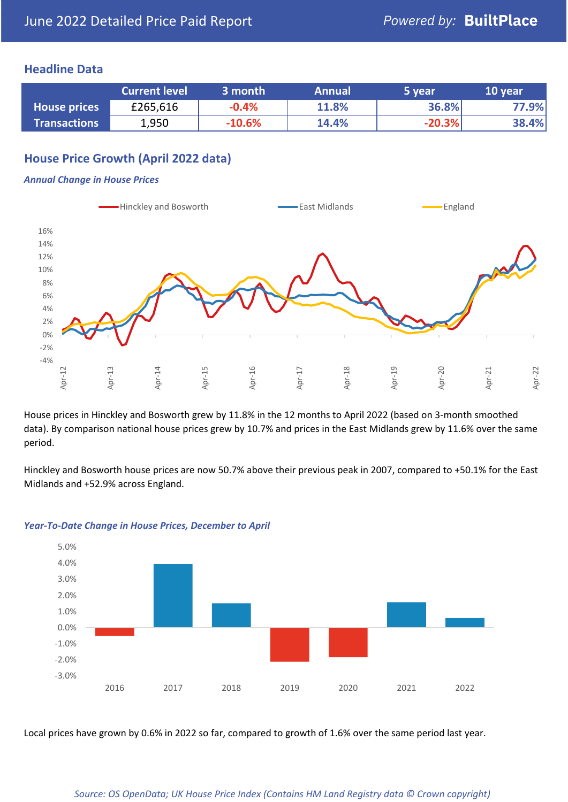## **Headline Data**

|                     | <b>Current level</b> | 3 month  | <b>Annual</b> | 5 year   | 10 year |
|---------------------|----------------------|----------|---------------|----------|---------|
| <b>House prices</b> | £265,616             | $-0.4%$  | 11.8%         | 36.8%    | 77.9%   |
| <b>Transactions</b> | 1,950                | $-10.6%$ | 14.4%         | $-20.3%$ | 38.4%   |

## **House Price Growth (April 2022 data)**

#### *Annual Change in House Prices*



House prices in Hinckley and Bosworth grew by 11.8% in the 12 months to April 2022 (based on 3-month smoothed data). By comparison national house prices grew by 10.7% and prices in the East Midlands grew by 11.6% over the same period.

Hinckley and Bosworth house prices are now 50.7% above their previous peak in 2007, compared to +50.1% for the East Midlands and +52.9% across England.



#### *Year-To-Date Change in House Prices, December to April*

Local prices have grown by 0.6% in 2022 so far, compared to growth of 1.6% over the same period last year.

#### *Source: OS OpenData; UK House Price Index (Contains HM Land Registry data © Crown copyright)*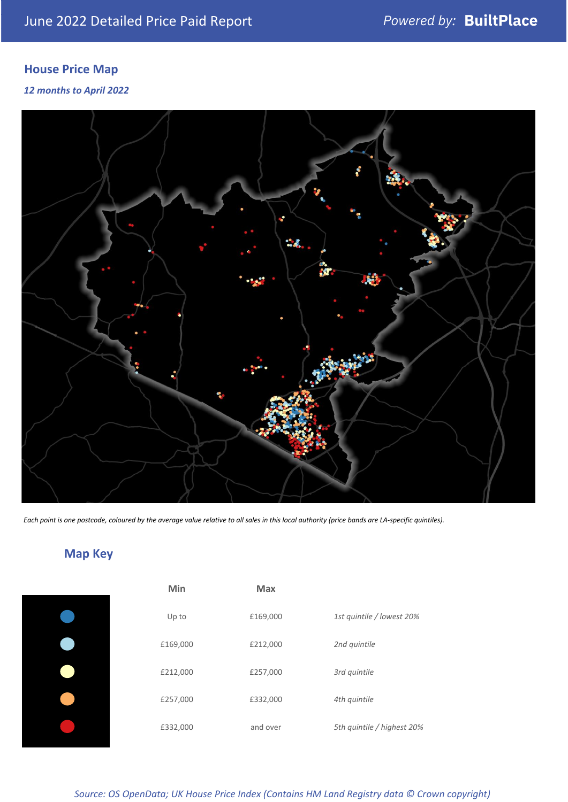# **House Price Map**

### *12 months to April 2022*



*Each point is one postcode, coloured by the average value relative to all sales in this local authority (price bands are LA-specific quintiles).*

# **Map Key**

| Min      | <b>Max</b> |                            |
|----------|------------|----------------------------|
| Up to    | £169,000   | 1st quintile / lowest 20%  |
| £169,000 | £212,000   | 2nd quintile               |
| £212,000 | £257,000   | 3rd quintile               |
| £257,000 | £332,000   | 4th quintile               |
| £332,000 | and over   | 5th quintile / highest 20% |

*Source: OS OpenData; UK House Price Index (Contains HM Land Registry data © Crown copyright)*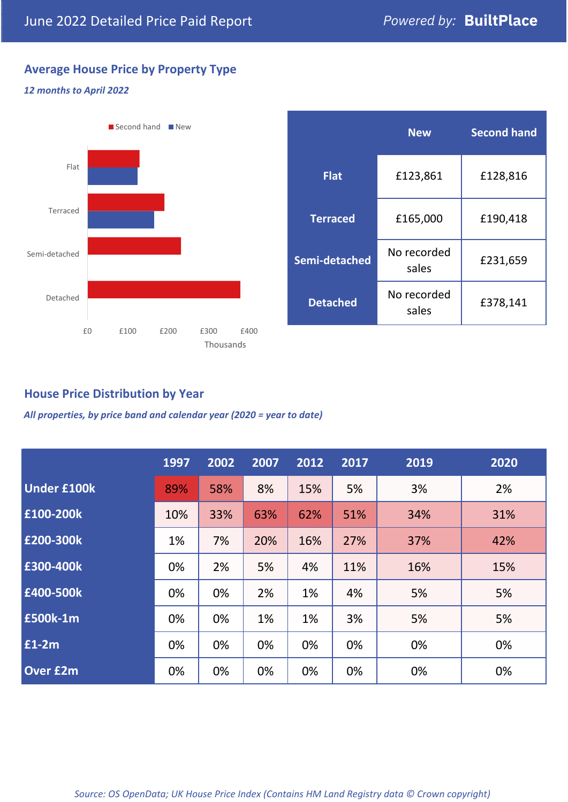# **Average House Price by Property Type**

### *12 months to April 2022*



|                 | <b>New</b>           | <b>Second hand</b> |  |
|-----------------|----------------------|--------------------|--|
| <b>Flat</b>     | £123,861             | £128,816           |  |
| <b>Terraced</b> | £165,000             | £190,418           |  |
| Semi-detached   | No recorded<br>sales | £231,659           |  |
| <b>Detached</b> | No recorded<br>sales | £378,141           |  |

## **House Price Distribution by Year**

*All properties, by price band and calendar year (2020 = year to date)*

|                    | 1997 | 2002 | 2007 | 2012 | 2017 | 2019 | 2020 |
|--------------------|------|------|------|------|------|------|------|
| <b>Under £100k</b> | 89%  | 58%  | 8%   | 15%  | 5%   | 3%   | 2%   |
| £100-200k          | 10%  | 33%  | 63%  | 62%  | 51%  | 34%  | 31%  |
| E200-300k          | 1%   | 7%   | 20%  | 16%  | 27%  | 37%  | 42%  |
| £300-400k          | 0%   | 2%   | 5%   | 4%   | 11%  | 16%  | 15%  |
| £400-500k          | 0%   | 0%   | 2%   | 1%   | 4%   | 5%   | 5%   |
| <b>£500k-1m</b>    | 0%   | 0%   | 1%   | 1%   | 3%   | 5%   | 5%   |
| £1-2m              | 0%   | 0%   | 0%   | 0%   | 0%   | 0%   | 0%   |
| <b>Over £2m</b>    | 0%   | 0%   | 0%   | 0%   | 0%   | 0%   | 0%   |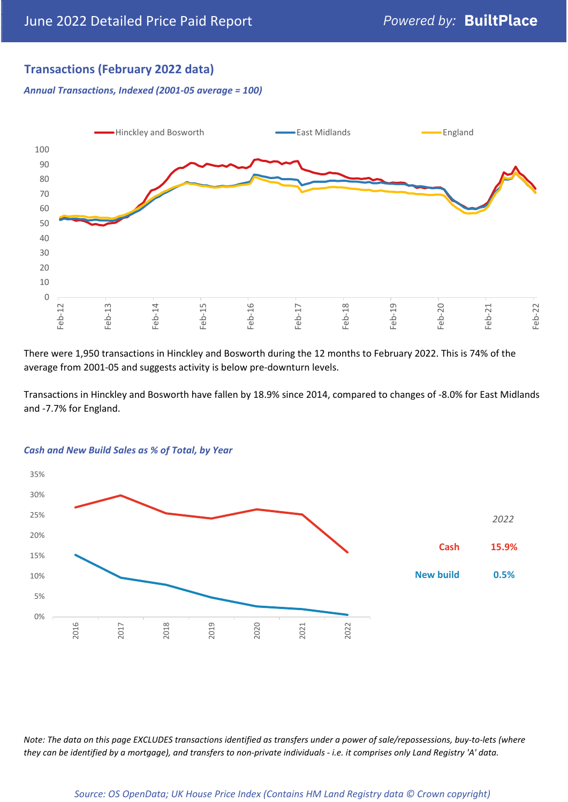## **Transactions (February 2022 data)**

*Annual Transactions, Indexed (2001-05 average = 100)*



There were 1,950 transactions in Hinckley and Bosworth during the 12 months to February 2022. This is 74% of the average from 2001-05 and suggests activity is below pre-downturn levels.

Transactions in Hinckley and Bosworth have fallen by 18.9% since 2014, compared to changes of -8.0% for East Midlands and -7.7% for England.



#### *Cash and New Build Sales as % of Total, by Year*

*Note: The data on this page EXCLUDES transactions identified as transfers under a power of sale/repossessions, buy-to-lets (where they can be identified by a mortgage), and transfers to non-private individuals - i.e. it comprises only Land Registry 'A' data.*